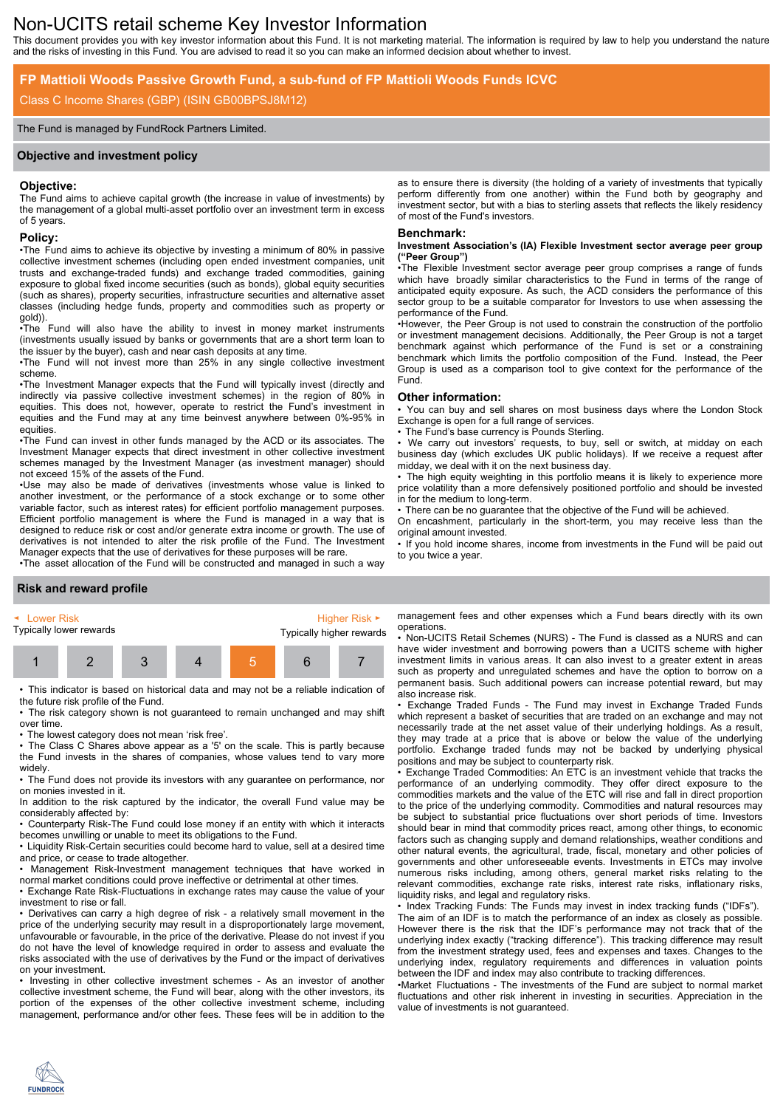# Non-UCITS retail scheme Key Investor Information

This document provides you with key investor information about this Fund. It is not marketing material. The information is required by law to help you understand the nature and the risks of investing in this Fund. You are advised to read it so you can make an informed decision about whether to invest.

# **FP Mattioli Woods Passive Growth Fund, a sub-fund of FP Mattioli Woods Funds ICVC**

## Class C Income Shares (GBP) (ISIN GB00BPSJ8M12)

#### The Fund is managed by FundRock Partners Limited.

#### **Objective and investment policy**

#### **Objective:**

The Fund aims to achieve capital growth (the increase in value of investments) by the management of a global multi-asset portfolio over an investment term in excess of 5 years.

#### **Policy:**

•The Fund aims to achieve its objective by investing a minimum of 80% in passive collective investment schemes (including open ended investment companies, unit trusts and exchange-traded funds) and exchange traded commodities, gaining exposure to global fixed income securities (such as bonds), global equity securities (such as shares), property securities, infrastructure securities and alternative asset classes (including hedge funds, property and commodities such as property or gold)).

•The Fund will also have the ability to invest in money market instruments (investments usually issued by banks or governments that are a short term loan to the issuer by the buyer), cash and near cash deposits at any time.

•The Fund will not invest more than 25% in any single collective investment scheme.

•The Investment Manager expects that the Fund will typically invest (directly and indirectly via passive collective investment schemes) in the region of 80% in equities. This does not, however, operate to restrict the Fund's investment in equities and the Fund may at any time beinvest anywhere between 0%-95% in equities.

•The Fund can invest in other funds managed by the ACD or its associates. The Investment Manager expects that direct investment in other collective investment schemes managed by the Investment Manager (as investment manager) should not exceed 15% of the assets of the Fund.

•Use may also be made of derivatives (investments whose value is linked to another investment, or the performance of a stock exchange or to some other variable factor, such as interest rates) for efficient portfolio management purposes. Efficient portfolio management is where the Fund is managed in a way that is designed to reduce risk or cost and/or generate extra income or growth. The use of derivatives is not intended to alter the risk profile of the Fund. The Investment Manager expects that the use of derivatives for these purposes will be rare.

•The asset allocation of the Fund will be constructed and managed in such a way

as to ensure there is diversity (the holding of a variety of investments that typically perform differently from one another) within the Fund both by geography and investment sector, but with a bias to sterling assets that reflects the likely residency of most of the Fund's investors.

#### **Benchmark:**

#### **Investment Association's (IA) Flexible Investment sector average peer group ("Peer Group")**

•The Flexible Investment sector average peer group comprises a range of funds which have broadly similar characteristics to the Fund in terms of the range of anticipated equity exposure. As such, the ACD considers the performance of this sector group to be a suitable comparator for Investors to use when assessing the performance of the Fund.

•However, the Peer Group is not used to constrain the construction of the portfolio or investment management decisions. Additionally, the Peer Group is not a target benchmark against which performance of the Fund is set or a constraining benchmark which limits the portfolio composition of the Fund. Instead, the Peer Group is used as a comparison tool to give context for the performance of the Fund.

#### **Other information:**

• You can buy and sell shares on most business days where the London Stock Exchange is open for a full range of services.

The Fund's base currency is Pounds Sterling.

• We carry out investors' requests, to buy, sell or switch, at midday on each business day (which excludes UK public holidays). If we receive a request after midday, we deal with it on the next business day.

The high equity weighting in this portfolio means it is likely to experience more price volatility than a more defensively positioned portfolio and should be invested in for the medium to long-term.

There can be no guarantee that the objective of the Fund will be achieved.

On encashment, particularly in the short-term, you may receive less than the

original amount invested. • If you hold income shares, income from investments in the Fund will be paid out to you twice a year.

#### **Risk and reward profile**

| ► Lower Risk            |  |  |  |  | Higher Risk $\blacktriangleright$ |  |
|-------------------------|--|--|--|--|-----------------------------------|--|
| Typically lower rewards |  |  |  |  | Typically higher rewards          |  |
|                         |  |  |  |  |                                   |  |

• This indicator is based on historical data and may not be a reliable indication of the future risk profile of the Fund.

• The risk category shown is not guaranteed to remain unchanged and may shift over time.

• The lowest category does not mean 'risk free'.

• The Class C Shares above appear as a '5' on the scale. This is partly because the Fund invests in the shares of companies, whose values tend to vary more widely.

• The Fund does not provide its investors with any guarantee on performance, nor on monies invested in it.

In addition to the risk captured by the indicator, the overall Fund value may be considerably affected by:

• Counterparty Risk-The Fund could lose money if an entity with which it interacts becomes unwilling or unable to meet its obligations to the Fund.

• Liquidity Risk-Certain securities could become hard to value, sell at a desired time and price, or cease to trade altogether.

• Management Risk-Investment management techniques that have worked in normal market conditions could prove ineffective or detrimental at other times.

• Exchange Rate Risk-Fluctuations in exchange rates may cause the value of your investment to rise or fall.

• Derivatives can carry a high degree of risk - a relatively small movement in the price of the underlying security may result in a disproportionately large movement, unfavourable or favourable, in the price of the derivative. Please do not invest if you do not have the level of knowledge required in order to assess and evaluate the risks associated with the use of derivatives by the Fund or the impact of derivatives on your investment.

• Investing in other collective investment schemes - As an investor of another collective investment scheme, the Fund will bear, along with the other investors, its portion of the expenses of the other collective investment scheme, including management, performance and/or other fees. These fees will be in addition to the

management fees and other expenses which a Fund bears directly with its own operations.

• Non-UCITS Retail Schemes (NURS) - The Fund is classed as a NURS and can have wider investment and borrowing powers than a UCITS scheme with higher investment limits in various areas. It can also invest to a greater extent in areas such as property and unregulated schemes and have the option to borrow on a permanent basis. Such additional powers can increase potential reward, but may also increase risk.

• Exchange Traded Funds - The Fund may invest in Exchange Traded Funds which represent a basket of securities that are traded on an exchange and may not necessarily trade at the net asset value of their underlying holdings. As a result, they may trade at a price that is above or below the value of the underlying portfolio. Exchange traded funds may not be backed by underlying physical positions and may be subject to counterparty risk.

• Exchange Traded Commodities: An ETC is an investment vehicle that tracks the performance of an underlying commodity. They offer direct exposure to the commodities markets and the value of the ETC will rise and fall in direct proportion to the price of the underlying commodity. Commodities and natural resources may be subject to substantial price fluctuations over short periods of time. Investors should bear in mind that commodity prices react, among other things, to economic factors such as changing supply and demand relationships, weather conditions and other natural events, the agricultural, trade, fiscal, monetary and other policies of governments and other unforeseeable events. Investments in ETCs may involve numerous risks including, among others, general market risks relating to the relevant commodities, exchange rate risks, interest rate risks, inflationary risks, liquidity risks, and legal and regulatory risks.

• Index Tracking Funds: The Funds may invest in index tracking funds ("IDFs"). The aim of an IDF is to match the performance of an index as closely as possible. However there is the risk that the IDF's performance may not track that of the underlying index exactly ("tracking difference"). This tracking difference may result from the investment strategy used, fees and expenses and taxes. Changes to the underlying index, regulatory requirements and differences in valuation points between the IDF and index may also contribute to tracking differences.

•Market Fluctuations - The investments of the Fund are subject to normal market fluctuations and other risk inherent in investing in securities. Appreciation in the value of investments is not guaranteed.